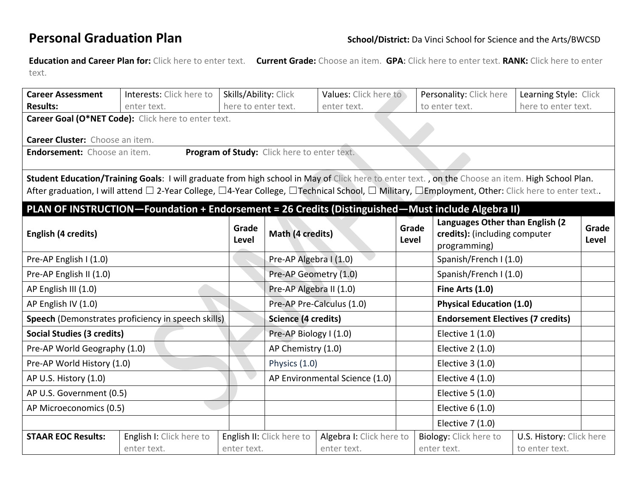**Education and Career Plan for:** Click here to enter text. **Current Grade:** Choose an item. **GPA**: Click here to enter text. **RANK:** Click here to enter text.

| <b>Career Assessment</b>                                                                                                                                                                                                                                                                           | Interests: Click here to                | Skills/Ability: Click |                                | Values: Click here to                   |                                                                                     | Personality: Click here                                                          | Learning Style: Click |                |  |  |  |  |
|----------------------------------------------------------------------------------------------------------------------------------------------------------------------------------------------------------------------------------------------------------------------------------------------------|-----------------------------------------|-----------------------|--------------------------------|-----------------------------------------|-------------------------------------------------------------------------------------|----------------------------------------------------------------------------------|-----------------------|----------------|--|--|--|--|
| <b>Results:</b>                                                                                                                                                                                                                                                                                    | enter text.                             | here to enter text.   |                                | enter text.                             |                                                                                     | to enter text.                                                                   | here to enter text.   |                |  |  |  |  |
| Career Goal (O*NET Code): Click here to enter text.<br>Career Cluster: Choose an item.                                                                                                                                                                                                             |                                         |                       |                                |                                         |                                                                                     |                                                                                  |                       |                |  |  |  |  |
| Program of Study: Click here to enter text.<br><b>Endorsement:</b> Choose an item.                                                                                                                                                                                                                 |                                         |                       |                                |                                         |                                                                                     |                                                                                  |                       |                |  |  |  |  |
| Student Education/Training Goals: I will graduate from high school in May of Click here to enter text., on the Choose an item. High School Plan.<br>After graduation, I will attend □ 2-Year College, □4-Year College, □Technical School, □ Military, □Employment, Other: Click here to enter text |                                         |                       |                                |                                         |                                                                                     |                                                                                  |                       |                |  |  |  |  |
| PLAN OF INSTRUCTION-Foundation + Endorsement = 26 Credits (Distinguished-Must include Algebra II)<br>English (4 credits)                                                                                                                                                                           |                                         | Grade<br>Level        | Math (4 credits)               |                                         | Grade<br>Level                                                                      | Languages Other than English (2<br>credits): (including computer<br>programming) |                       | Grade<br>Level |  |  |  |  |
| Pre-AP English I (1.0)                                                                                                                                                                                                                                                                             |                                         |                       | Pre-AP Algebra I (1.0)         |                                         |                                                                                     | Spanish/French I (1.0)                                                           |                       |                |  |  |  |  |
| Pre-AP English II (1.0)                                                                                                                                                                                                                                                                            |                                         |                       | Pre-AP Geometry (1.0)          |                                         | Spanish/French I (1.0)                                                              |                                                                                  |                       |                |  |  |  |  |
| AP English III (1.0)                                                                                                                                                                                                                                                                               |                                         |                       | Pre-AP Algebra II (1.0)        |                                         |                                                                                     | Fine Arts (1.0)                                                                  |                       |                |  |  |  |  |
| AP English IV (1.0)                                                                                                                                                                                                                                                                                |                                         |                       | Pre-AP Pre-Calculus (1.0)      |                                         |                                                                                     | <b>Physical Education (1.0)</b>                                                  |                       |                |  |  |  |  |
| Speech (Demonstrates proficiency in speech skills)                                                                                                                                                                                                                                                 |                                         |                       | Science (4 credits)            |                                         |                                                                                     | <b>Endorsement Electives (7 credits)</b>                                         |                       |                |  |  |  |  |
| <b>Social Studies (3 credits)</b>                                                                                                                                                                                                                                                                  |                                         |                       | Pre-AP Biology I (1.0)         |                                         |                                                                                     | Elective 1 (1.0)                                                                 |                       |                |  |  |  |  |
| Pre-AP World Geography (1.0)                                                                                                                                                                                                                                                                       |                                         |                       | AP Chemistry (1.0)             |                                         |                                                                                     | Elective 2 (1.0)                                                                 |                       |                |  |  |  |  |
| Pre-AP World History (1.0)                                                                                                                                                                                                                                                                         |                                         |                       | Physics (1.0)                  |                                         |                                                                                     | Elective 3 (1.0)                                                                 |                       |                |  |  |  |  |
| AP U.S. History (1.0)                                                                                                                                                                                                                                                                              |                                         |                       | AP Environmental Science (1.0) |                                         |                                                                                     | Elective 4 (1.0)                                                                 |                       |                |  |  |  |  |
| AP U.S. Government (0.5)                                                                                                                                                                                                                                                                           |                                         |                       |                                |                                         |                                                                                     | Elective 5 (1.0)                                                                 |                       |                |  |  |  |  |
| AP Microeconomics (0.5)                                                                                                                                                                                                                                                                            |                                         |                       |                                | Elective $6(1.0)$                       |                                                                                     |                                                                                  |                       |                |  |  |  |  |
|                                                                                                                                                                                                                                                                                                    |                                         |                       |                                |                                         |                                                                                     | Elective 7 (1.0)                                                                 |                       |                |  |  |  |  |
| <b>STAAR EOC Results:</b>                                                                                                                                                                                                                                                                          | English I: Click here to<br>enter text. | enter text.           | English II: Click here to      | Algebra I: Click here to<br>enter text. | Biology: Click here to<br>U.S. History: Click here<br>enter text.<br>to enter text. |                                                                                  |                       |                |  |  |  |  |